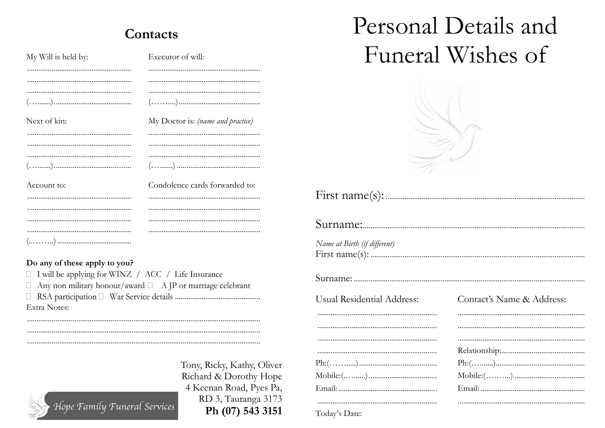## Contacts

| My Will is held by: | Executor of will:                 |
|---------------------|-----------------------------------|
|                     |                                   |
|                     |                                   |
|                     |                                   |
| ().                 |                                   |
| Next of kin:        | My Doctor is: (name and practice) |
|                     |                                   |
|                     |                                   |
|                     |                                   |
|                     |                                   |
| Account to:         | Condolence cards forwarded to:    |
|                     |                                   |
|                     |                                   |
|                     |                                   |
|                     |                                   |
|                     |                                   |

## Do any of these apply to you?

□ I will be applying for WINZ / ACC / Life Insurance  $\Box$  Any non military honour/award  $\Box$  A JP or marriage celebrant Extra Notes:

Hope Family Funeral Services

 $\cdots$ Tony, Ricky, Kathy, Oliver Ph: Richard & Dorothy Hope  $M<sub>O</sub>$ 4 Keenan Road, Pyes Pa,  $Em$ RD 3, Tauranga 3173 Ph (07) 543 3151

## Personal Details and Funeral Wishes of



| Name at Birth (if different) |                           |
|------------------------------|---------------------------|
|                              |                           |
| Usual Residential Address:   | Contact's Name & Address: |
|                              |                           |
|                              |                           |
|                              |                           |
| Ph: ()                       | Ph: ().                   |
|                              |                           |
|                              |                           |
|                              |                           |

Today's Date: